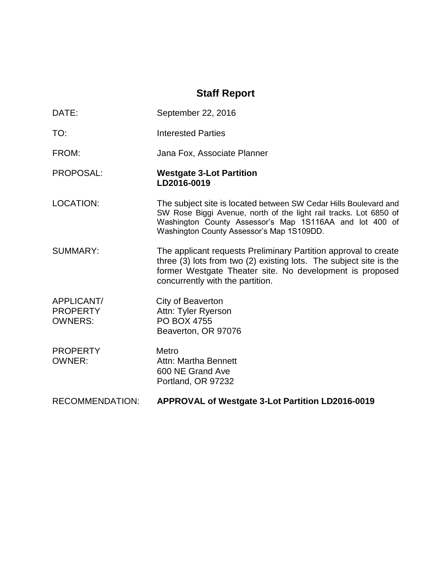# **Staff Report**

DATE: September 22, 2016

TO: Interested Parties FROM: Jana Fox, Associate Planner PROPOSAL: **Westgate 3-Lot Partition LD2016-0019** LOCATION: The subject site is located between SW Cedar Hills Boulevard and SW Rose Biggi Avenue, north of the light rail tracks. Lot 6850 of Washington County Assessor's Map 1S116AA and lot 400 of Washington County Assessor's Map 1S109DD. SUMMARY: The applicant requests Preliminary Partition approval to create three (3) lots from two (2) existing lots. The subject site is the former Westgate Theater site. No development is proposed concurrently with the partition. APPLICANT/ City of Beaverton PROPERTY Attn: Tyler Ryerson OWNERS: PO BOX 4755 Beaverton, OR 97076 PROPERTY Metro OWNER: Attn: Martha Bennett 600 NE Grand Ave Portland, OR 97232 RECOMMENDATION: **APPROVAL of Westgate 3-Lot Partition LD2016-0019**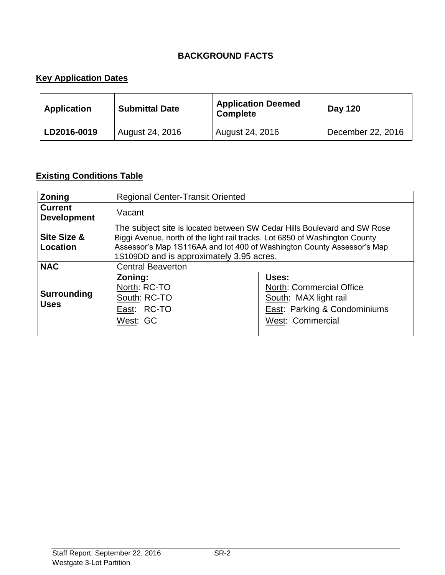## **BACKGROUND FACTS**

# **Key Application Dates**

| <b>Application</b> | <b>Submittal Date</b> | <b>Application Deemed</b><br><b>Complete</b> | <b>Day 120</b>    |
|--------------------|-----------------------|----------------------------------------------|-------------------|
| LD2016-0019        | August 24, 2016       | August 24, 2016                              | December 22, 2016 |

# **Existing Conditions Table**

| Zoning                               | <b>Regional Center-Transit Oriented</b>                                                                                                                                                                                                                                       |                                                                                                                |  |
|--------------------------------------|-------------------------------------------------------------------------------------------------------------------------------------------------------------------------------------------------------------------------------------------------------------------------------|----------------------------------------------------------------------------------------------------------------|--|
| <b>Current</b><br><b>Development</b> | Vacant                                                                                                                                                                                                                                                                        |                                                                                                                |  |
| <b>Site Size &amp;</b><br>Location   | The subject site is located between SW Cedar Hills Boulevard and SW Rose<br>Biggi Avenue, north of the light rail tracks. Lot 6850 of Washington County<br>Assessor's Map 1S116AA and lot 400 of Washington County Assessor's Map<br>1S109DD and is approximately 3.95 acres. |                                                                                                                |  |
| <b>NAC</b>                           | <b>Central Beaverton</b>                                                                                                                                                                                                                                                      |                                                                                                                |  |
| <b>Surrounding</b><br><b>Uses</b>    | Zoning:<br>North: RC-TO<br>South: RC-TO<br>East: RC-TO<br>West: GC                                                                                                                                                                                                            | Uses:<br>North: Commercial Office<br>South: MAX light rail<br>East: Parking & Condominiums<br>West: Commercial |  |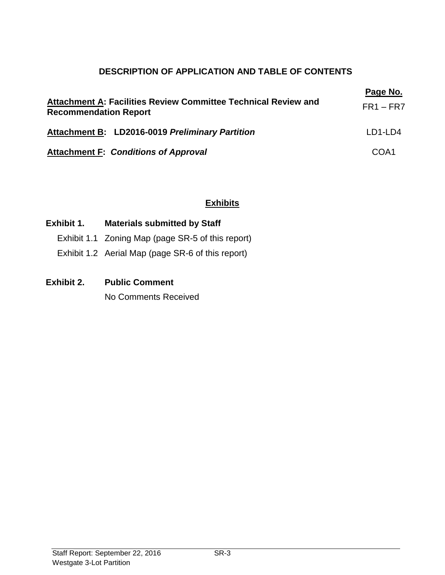# **DESCRIPTION OF APPLICATION AND TABLE OF CONTENTS**

| Attachment A: Facilities Review Committee Technical Review and<br><b>Recommendation Report</b> | Page No.<br>$FR1 - FR7$ |
|------------------------------------------------------------------------------------------------|-------------------------|
| Attachment B: LD2016-0019 Preliminary Partition                                                | LD1-LD4                 |
| <b>Attachment F: Conditions of Approval</b>                                                    | COA1                    |

## **Exhibits**

## **Exhibit 1. Materials submitted by Staff**

- Exhibit 1.1 Zoning Map (page SR-5 of this report)
- Exhibit 1.2 Aerial Map (page SR-6 of this report)

## **Exhibit 2. Public Comment**

No Comments Received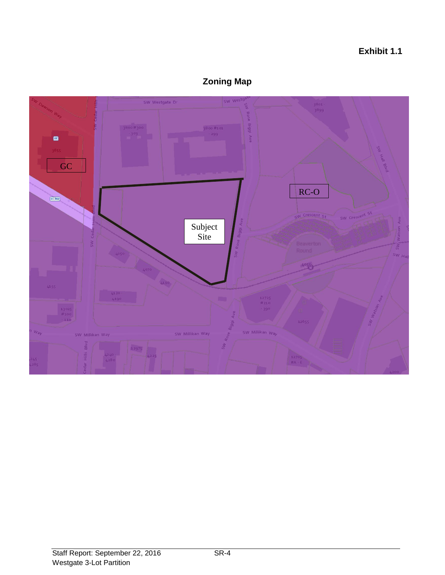## **Exhibit 1.1**



# **Zoning Map**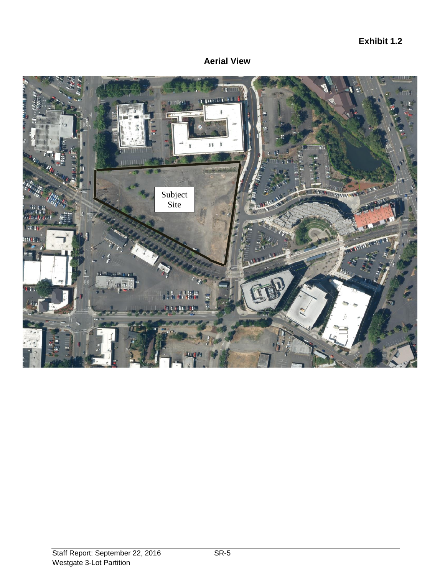## **Exhibit 1.2**



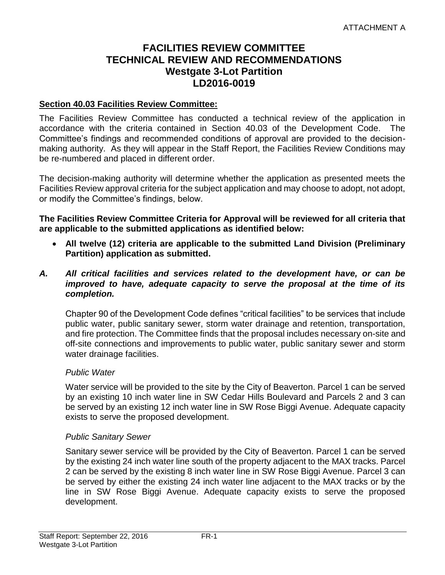# **FACILITIES REVIEW COMMITTEE TECHNICAL REVIEW AND RECOMMENDATIONS Westgate 3-Lot Partition LD2016-0019**

#### **Section 40.03 Facilities Review Committee:**

The Facilities Review Committee has conducted a technical review of the application in accordance with the criteria contained in Section 40.03 of the Development Code. The Committee's findings and recommended conditions of approval are provided to the decisionmaking authority. As they will appear in the Staff Report, the Facilities Review Conditions may be re-numbered and placed in different order.

The decision-making authority will determine whether the application as presented meets the Facilities Review approval criteria for the subject application and may choose to adopt, not adopt, or modify the Committee's findings, below.

**The Facilities Review Committee Criteria for Approval will be reviewed for all criteria that are applicable to the submitted applications as identified below:**

- **All twelve (12) criteria are applicable to the submitted Land Division (Preliminary Partition) application as submitted.**
- *A. All critical facilities and services related to the development have, or can be improved to have, adequate capacity to serve the proposal at the time of its completion.*

Chapter 90 of the Development Code defines "critical facilities" to be services that include public water, public sanitary sewer, storm water drainage and retention, transportation, and fire protection. The Committee finds that the proposal includes necessary on-site and off-site connections and improvements to public water, public sanitary sewer and storm water drainage facilities.

#### *Public Water*

Water service will be provided to the site by the City of Beaverton. Parcel 1 can be served by an existing 10 inch water line in SW Cedar Hills Boulevard and Parcels 2 and 3 can be served by an existing 12 inch water line in SW Rose Biggi Avenue. Adequate capacity exists to serve the proposed development.

#### *Public Sanitary Sewer*

Sanitary sewer service will be provided by the City of Beaverton. Parcel 1 can be served by the existing 24 inch water line south of the property adjacent to the MAX tracks. Parcel 2 can be served by the existing 8 inch water line in SW Rose Biggi Avenue. Parcel 3 can be served by either the existing 24 inch water line adjacent to the MAX tracks or by the line in SW Rose Biggi Avenue. Adequate capacity exists to serve the proposed development.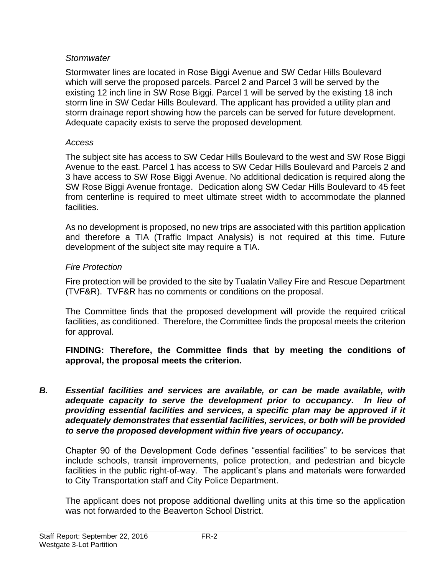## *Stormwater*

Stormwater lines are located in Rose Biggi Avenue and SW Cedar Hills Boulevard which will serve the proposed parcels. Parcel 2 and Parcel 3 will be served by the existing 12 inch line in SW Rose Biggi. Parcel 1 will be served by the existing 18 inch storm line in SW Cedar Hills Boulevard. The applicant has provided a utility plan and storm drainage report showing how the parcels can be served for future development. Adequate capacity exists to serve the proposed development.

## *Access*

The subject site has access to SW Cedar Hills Boulevard to the west and SW Rose Biggi Avenue to the east. Parcel 1 has access to SW Cedar Hills Boulevard and Parcels 2 and 3 have access to SW Rose Biggi Avenue. No additional dedication is required along the SW Rose Biggi Avenue frontage. Dedication along SW Cedar Hills Boulevard to 45 feet from centerline is required to meet ultimate street width to accommodate the planned facilities.

As no development is proposed, no new trips are associated with this partition application and therefore a TIA (Traffic Impact Analysis) is not required at this time. Future development of the subject site may require a TIA.

## *Fire Protection*

Fire protection will be provided to the site by Tualatin Valley Fire and Rescue Department (TVF&R). TVF&R has no comments or conditions on the proposal.

The Committee finds that the proposed development will provide the required critical facilities, as conditioned. Therefore, the Committee finds the proposal meets the criterion for approval.

**FINDING: Therefore, the Committee finds that by meeting the conditions of approval, the proposal meets the criterion.** 

*B. Essential facilities and services are available, or can be made available, with adequate capacity to serve the development prior to occupancy. In lieu of*  providing essential facilities and services, a specific plan may be approved if it *adequately demonstrates that essential facilities, services, or both will be provided to serve the proposed development within five years of occupancy.*

Chapter 90 of the Development Code defines "essential facilities" to be services that include schools, transit improvements, police protection, and pedestrian and bicycle facilities in the public right-of-way. The applicant's plans and materials were forwarded to City Transportation staff and City Police Department.

The applicant does not propose additional dwelling units at this time so the application was not forwarded to the Beaverton School District.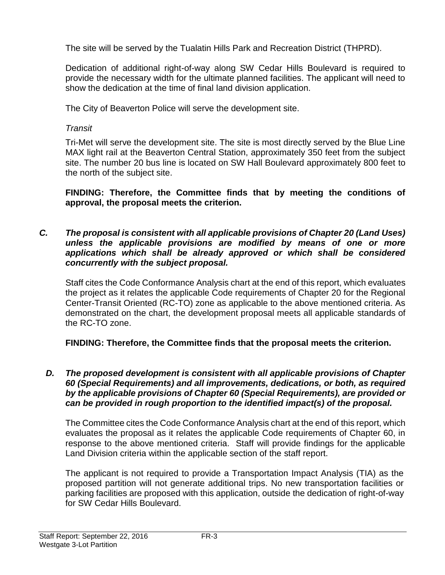The site will be served by the Tualatin Hills Park and Recreation District (THPRD).

Dedication of additional right-of-way along SW Cedar Hills Boulevard is required to provide the necessary width for the ultimate planned facilities. The applicant will need to show the dedication at the time of final land division application.

The City of Beaverton Police will serve the development site.

## *Transit*

Tri-Met will serve the development site. The site is most directly served by the Blue Line MAX light rail at the Beaverton Central Station, approximately 350 feet from the subject site. The number 20 bus line is located on SW Hall Boulevard approximately 800 feet to the north of the subject site.

**FINDING: Therefore, the Committee finds that by meeting the conditions of approval, the proposal meets the criterion.** 

*C. The proposal is consistent with all applicable provisions of Chapter 20 (Land Uses) unless the applicable provisions are modified by means of one or more applications which shall be already approved or which shall be considered concurrently with the subject proposal.*

Staff cites the Code Conformance Analysis chart at the end of this report, which evaluates the project as it relates the applicable Code requirements of Chapter 20 for the Regional Center-Transit Oriented (RC-TO) zone as applicable to the above mentioned criteria. As demonstrated on the chart, the development proposal meets all applicable standards of the RC-TO zone.

**FINDING: Therefore, the Committee finds that the proposal meets the criterion.** 

*D. The proposed development is consistent with all applicable provisions of Chapter 60 (Special Requirements) and all improvements, dedications, or both, as required by the applicable provisions of Chapter 60 (Special Requirements), are provided or can be provided in rough proportion to the identified impact(s) of the proposal.*

The Committee cites the Code Conformance Analysis chart at the end of this report, which evaluates the proposal as it relates the applicable Code requirements of Chapter 60, in response to the above mentioned criteria. Staff will provide findings for the applicable Land Division criteria within the applicable section of the staff report.

The applicant is not required to provide a Transportation Impact Analysis (TIA) as the proposed partition will not generate additional trips. No new transportation facilities or parking facilities are proposed with this application, outside the dedication of right-of-way for SW Cedar Hills Boulevard.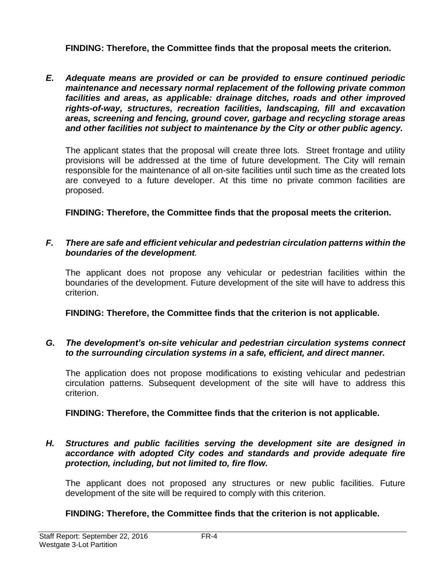**FINDING: Therefore, the Committee finds that the proposal meets the criterion.** 

*E. Adequate means are provided or can be provided to ensure continued periodic maintenance and necessary normal replacement of the following private common facilities and areas, as applicable: drainage ditches, roads and other improved rights-of-way, structures, recreation facilities, landscaping, fill and excavation areas, screening and fencing, ground cover, garbage and recycling storage areas and other facilities not subject to maintenance by the City or other public agency.*

The applicant states that the proposal will create three lots. Street frontage and utility provisions will be addressed at the time of future development. The City will remain responsible for the maintenance of all on-site facilities until such time as the created lots are conveyed to a future developer. At this time no private common facilities are proposed.

**FINDING: Therefore, the Committee finds that the proposal meets the criterion.** 

## *F. There are safe and efficient vehicular and pedestrian circulation patterns within the boundaries of the development.*

The applicant does not propose any vehicular or pedestrian facilities within the boundaries of the development. Future development of the site will have to address this criterion.

**FINDING: Therefore, the Committee finds that the criterion is not applicable.** 

## *G. The development's on-site vehicular and pedestrian circulation systems connect to the surrounding circulation systems in a safe, efficient, and direct manner.*

The application does not propose modifications to existing vehicular and pedestrian circulation patterns. Subsequent development of the site will have to address this criterion.

# **FINDING: Therefore, the Committee finds that the criterion is not applicable.**

### *H. Structures and public facilities serving the development site are designed in accordance with adopted City codes and standards and provide adequate fire protection, including, but not limited to, fire flow.*

The applicant does not proposed any structures or new public facilities. Future development of the site will be required to comply with this criterion.

# **FINDING: Therefore, the Committee finds that the criterion is not applicable.**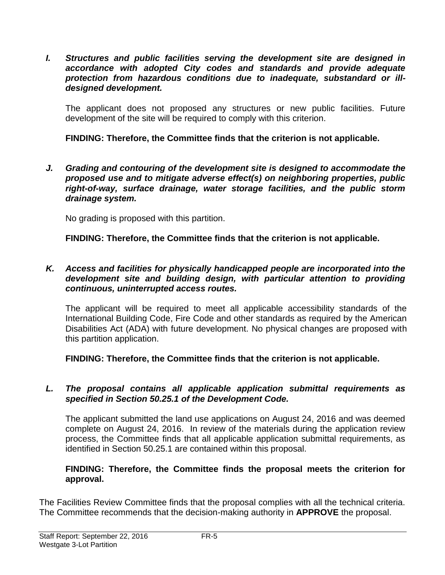*I. Structures and public facilities serving the development site are designed in accordance with adopted City codes and standards and provide adequate protection from hazardous conditions due to inadequate, substandard or illdesigned development.*

The applicant does not proposed any structures or new public facilities. Future development of the site will be required to comply with this criterion.

## **FINDING: Therefore, the Committee finds that the criterion is not applicable.**

*J. Grading and contouring of the development site is designed to accommodate the proposed use and to mitigate adverse effect(s) on neighboring properties, public right-of-way, surface drainage, water storage facilities, and the public storm drainage system.*

No grading is proposed with this partition.

**FINDING: Therefore, the Committee finds that the criterion is not applicable.**

#### *K. Access and facilities for physically handicapped people are incorporated into the development site and building design, with particular attention to providing continuous, uninterrupted access routes.*

The applicant will be required to meet all applicable accessibility standards of the International Building Code, Fire Code and other standards as required by the American Disabilities Act (ADA) with future development. No physical changes are proposed with this partition application.

**FINDING: Therefore, the Committee finds that the criterion is not applicable.**

## *L. The proposal contains all applicable application submittal requirements as specified in Section 50.25.1 of the Development Code.*

The applicant submitted the land use applications on August 24, 2016 and was deemed complete on August 24, 2016. In review of the materials during the application review process, the Committee finds that all applicable application submittal requirements, as identified in Section 50.25.1 are contained within this proposal.

## **FINDING: Therefore, the Committee finds the proposal meets the criterion for approval.**

The Facilities Review Committee finds that the proposal complies with all the technical criteria. The Committee recommends that the decision-making authority in **APPROVE** the proposal.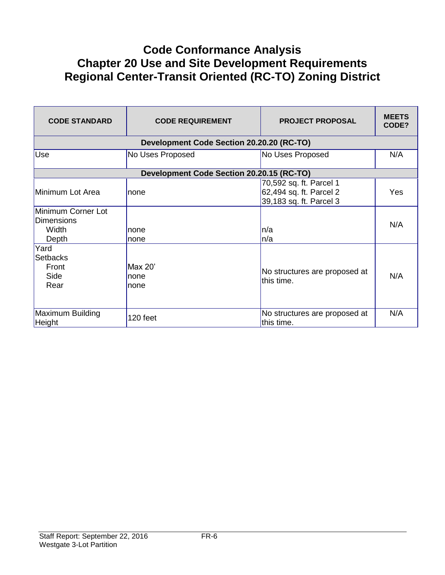# **Code Conformance Analysis Chapter 20 Use and Site Development Requirements Regional Center-Transit Oriented (RC-TO) Zoning District**

| <b>CODE STANDARD</b>                               | <b>CODE REQUIREMENT</b>                   | <b>PROJECT PROPOSAL</b>                                                       | <b>MEETS</b><br>CODE? |
|----------------------------------------------------|-------------------------------------------|-------------------------------------------------------------------------------|-----------------------|
|                                                    | Development Code Section 20.20.20 (RC-TO) |                                                                               |                       |
| Use                                                | No Uses Proposed                          | No Uses Proposed                                                              | N/A                   |
|                                                    | Development Code Section 20.20.15 (RC-TO) |                                                                               |                       |
| Minimum Lot Area                                   | Inone                                     | 70,592 sq. ft. Parcel 1<br>62,494 sq. ft. Parcel 2<br>39,183 sq. ft. Parcel 3 | <b>Yes</b>            |
| Minimum Corner Lot<br>Dimensions<br>Width<br>Depth | none<br>none                              | n/a<br>n/a                                                                    | N/A                   |
| Yard<br><b>Setbacks</b><br>Front<br>Side<br>Rear   | Max 20'<br>none<br>none                   | No structures are proposed at<br>this time.                                   | N/A                   |
| Maximum Building<br>Height                         | 120 feet                                  | No structures are proposed at<br>this time.                                   | N/A                   |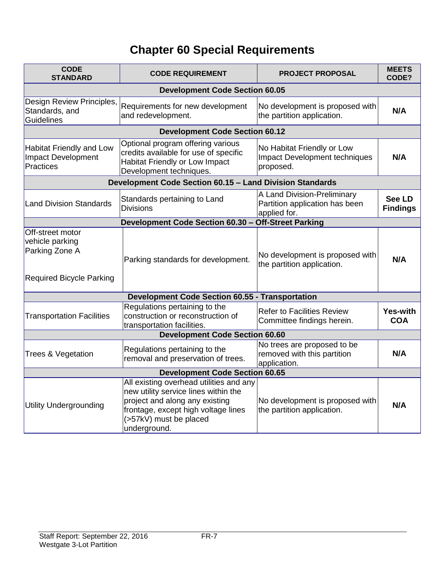# **Chapter 60 Special Requirements**

| <b>CODE</b><br><b>STANDARD</b>                                                           | <b>CODE REQUIREMENT</b>                                                                                                                                                                            | <b>PROJECT PROPOSAL</b>                                                         | <b>MEETS</b><br>CODE?            |
|------------------------------------------------------------------------------------------|----------------------------------------------------------------------------------------------------------------------------------------------------------------------------------------------------|---------------------------------------------------------------------------------|----------------------------------|
|                                                                                          | <b>Development Code Section 60.05</b>                                                                                                                                                              |                                                                                 |                                  |
| Design Review Principles,<br>Standards, and<br>Guidelines                                | Requirements for new development<br>and redevelopment.                                                                                                                                             | No development is proposed with<br>the partition application.                   | N/A                              |
|                                                                                          | <b>Development Code Section 60.12</b>                                                                                                                                                              |                                                                                 |                                  |
| <b>Habitat Friendly and Low</b><br><b>Impact Development</b><br><b>Practices</b>         | Optional program offering various<br>credits available for use of specific<br>Habitat Friendly or Low Impact<br>Development techniques.                                                            | No Habitat Friendly or Low<br><b>Impact Development techniques</b><br>proposed. | N/A                              |
|                                                                                          | Development Code Section 60.15 - Land Division Standards                                                                                                                                           |                                                                                 |                                  |
| <b>Land Division Standards</b>                                                           | Standards pertaining to Land<br><b>Divisions</b>                                                                                                                                                   | A Land Division-Preliminary<br>Partition application has been<br>applied for.   | <b>See LD</b><br><b>Findings</b> |
|                                                                                          | Development Code Section 60.30 - Off-Street Parking                                                                                                                                                |                                                                                 |                                  |
| Off-street motor<br>vehicle parking<br>Parking Zone A<br><b>Required Bicycle Parking</b> | Parking standards for development.                                                                                                                                                                 | No development is proposed with<br>the partition application.                   | N/A                              |
|                                                                                          | <b>Development Code Section 60.55 - Transportation</b>                                                                                                                                             |                                                                                 |                                  |
| <b>Transportation Facilities</b>                                                         | Regulations pertaining to the<br>construction or reconstruction of<br>transportation facilities.                                                                                                   | <b>Refer to Facilities Review</b><br>Committee findings herein.                 | Yes-with<br><b>COA</b>           |
|                                                                                          | <b>Development Code Section 60.60</b>                                                                                                                                                              |                                                                                 |                                  |
| <b>Trees &amp; Vegetation</b>                                                            | Regulations pertaining to the<br>removal and preservation of trees.                                                                                                                                | No trees are proposed to be<br>removed with this partition<br>application.      | N/A                              |
| <b>Development Code Section 60.65</b>                                                    |                                                                                                                                                                                                    |                                                                                 |                                  |
| <b>Utility Undergrounding</b>                                                            | All existing overhead utilities and any<br>new utility service lines within the<br>project and along any existing<br>frontage, except high voltage lines<br>(>57kV) must be placed<br>underground. | No development is proposed with<br>the partition application.                   | N/A                              |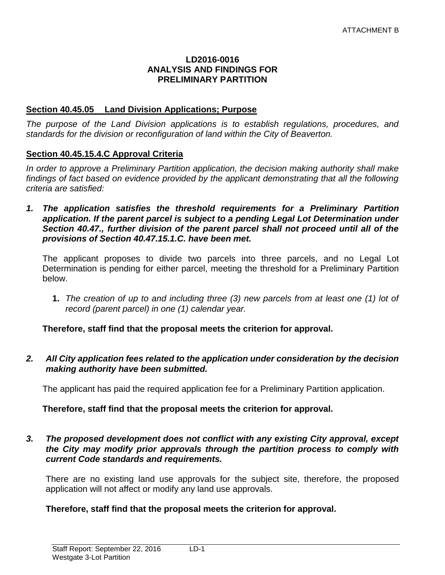#### **LD2016-0016 ANALYSIS AND FINDINGS FOR PRELIMINARY PARTITION**

#### **Section 40.45.05 Land Division Applications; Purpose**

*The purpose of the Land Division applications is to establish regulations, procedures, and standards for the division or reconfiguration of land within the City of Beaverton.* 

#### **Section 40.45.15.4.C Approval Criteria**

*In order to approve a Preliminary Partition application, the decision making authority shall make*  findings of fact based on evidence provided by the applicant demonstrating that all the following *criteria are satisfied:*

*1. The application satisfies the threshold requirements for a Preliminary Partition application. If the parent parcel is subject to a pending Legal Lot Determination under Section 40.47., further division of the parent parcel shall not proceed until all of the provisions of Section 40.47.15.1.C. have been met.*

The applicant proposes to divide two parcels into three parcels, and no Legal Lot Determination is pending for either parcel, meeting the threshold for a Preliminary Partition below.

**1.** *The creation of up to and including three (3) new parcels from at least one (1) lot of record (parent parcel) in one (1) calendar year.*

**Therefore, staff find that the proposal meets the criterion for approval.**

*2. All City application fees related to the application under consideration by the decision making authority have been submitted.*

The applicant has paid the required application fee for a Preliminary Partition application.

#### **Therefore, staff find that the proposal meets the criterion for approval.**

#### *3. The proposed development does not conflict with any existing City approval, except the City may modify prior approvals through the partition process to comply with current Code standards and requirements.*

There are no existing land use approvals for the subject site, therefore, the proposed application will not affect or modify any land use approvals.

#### **Therefore, staff find that the proposal meets the criterion for approval.**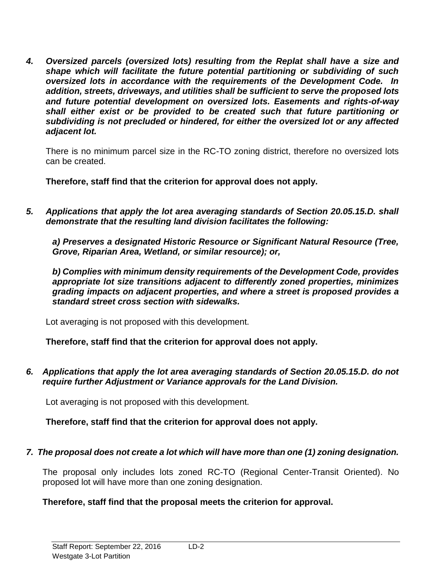*4. Oversized parcels (oversized lots) resulting from the Replat shall have a size and shape which will facilitate the future potential partitioning or subdividing of such oversized lots in accordance with the requirements of the Development Code. In addition, streets, driveways, and utilities shall be sufficient to serve the proposed lots and future potential development on oversized lots. Easements and rights-of-way shall either exist or be provided to be created such that future partitioning or subdividing is not precluded or hindered, for either the oversized lot or any affected adjacent lot.*

There is no minimum parcel size in the RC-TO zoning district, therefore no oversized lots can be created.

**Therefore, staff find that the criterion for approval does not apply.**

*5. Applications that apply the lot area averaging standards of Section 20.05.15.D. shall demonstrate that the resulting land division facilitates the following:* 

*a) Preserves a designated Historic Resource or Significant Natural Resource (Tree, Grove, Riparian Area, Wetland, or similar resource); or,* 

*b) Complies with minimum density requirements of the Development Code, provides appropriate lot size transitions adjacent to differently zoned properties, minimizes grading impacts on adjacent properties, and where a street is proposed provides a standard street cross section with sidewalks.*

Lot averaging is not proposed with this development.

**Therefore, staff find that the criterion for approval does not apply.**

*6. Applications that apply the lot area averaging standards of Section 20.05.15.D. do not require further Adjustment or Variance approvals for the Land Division.*

Lot averaging is not proposed with this development.

**Therefore, staff find that the criterion for approval does not apply.**

### *7. The proposal does not create a lot which will have more than one (1) zoning designation.*

The proposal only includes lots zoned RC-TO (Regional Center-Transit Oriented). No proposed lot will have more than one zoning designation.

### **Therefore, staff find that the proposal meets the criterion for approval.**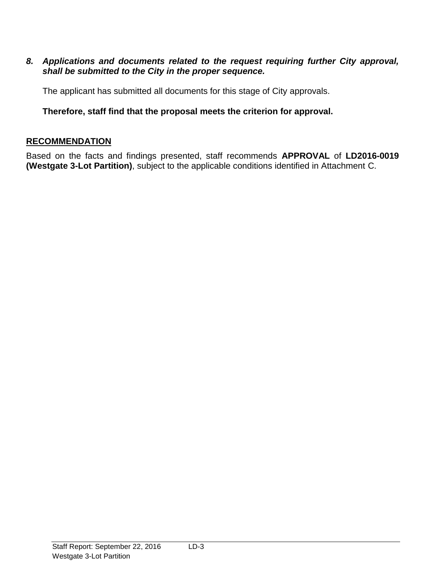### *8. Applications and documents related to the request requiring further City approval, shall be submitted to the City in the proper sequence.*

The applicant has submitted all documents for this stage of City approvals.

## **Therefore, staff find that the proposal meets the criterion for approval.**

### **RECOMMENDATION**

Based on the facts and findings presented, staff recommends **APPROVAL** of **LD2016-0019 (Westgate 3-Lot Partition)**, subject to the applicable conditions identified in Attachment C.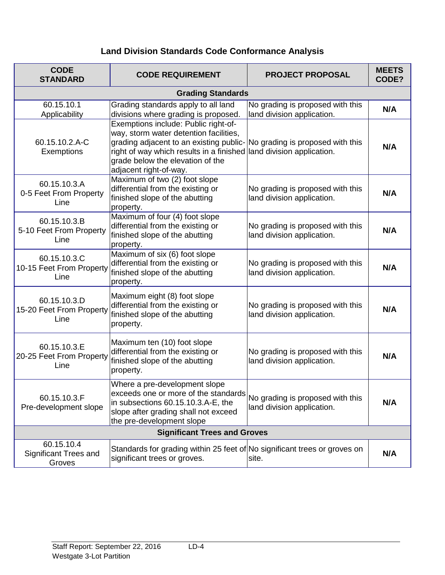# **Land Division Standards Code Conformance Analysis**

| <b>CODE</b><br><b>STANDARD</b>                       | <b>CODE REQUIREMENT</b>                                                                                                                                                                                                                                                                         | <b>PROJECT PROPOSAL</b>                                        | <b>MEETS</b><br>CODE? |
|------------------------------------------------------|-------------------------------------------------------------------------------------------------------------------------------------------------------------------------------------------------------------------------------------------------------------------------------------------------|----------------------------------------------------------------|-----------------------|
|                                                      | <b>Grading Standards</b>                                                                                                                                                                                                                                                                        |                                                                |                       |
| 60.15.10.1<br>Applicability                          | Grading standards apply to all land<br>divisions where grading is proposed.                                                                                                                                                                                                                     | No grading is proposed with this<br>land division application. | N/A                   |
| 60.15.10.2.A-C<br>Exemptions                         | Exemptions include: Public right-of-<br>way, storm water detention facilities,<br>grading adjacent to an existing public- No grading is proposed with this<br>right of way which results in a finished land division application.<br>grade below the elevation of the<br>adjacent right-of-way. |                                                                | N/A                   |
| 60.15.10.3.A<br>0-5 Feet From Property<br>Line       | Maximum of two (2) foot slope<br>differential from the existing or<br>finished slope of the abutting<br>property.                                                                                                                                                                               | No grading is proposed with this<br>land division application. | N/A                   |
| 60.15.10.3.B<br>5-10 Feet From Property<br>Line      | Maximum of four (4) foot slope<br>differential from the existing or<br>finished slope of the abutting<br>property.                                                                                                                                                                              | No grading is proposed with this<br>land division application. | N/A                   |
| 60.15.10.3.C<br>10-15 Feet From Property<br>Line     | Maximum of six (6) foot slope<br>differential from the existing or<br>finished slope of the abutting<br>property.                                                                                                                                                                               | No grading is proposed with this<br>land division application. | N/A                   |
| 60.15.10.3.D<br>15-20 Feet From Property<br>Line     | Maximum eight (8) foot slope<br>differential from the existing or<br>finished slope of the abutting<br>property.                                                                                                                                                                                | No grading is proposed with this<br>land division application. | N/A                   |
| 60.15.10.3.E<br>20-25 Feet From Property<br>Line     | Maximum ten (10) foot slope<br>differential from the existing or<br>finished slope of the abutting<br>property.                                                                                                                                                                                 | No grading is proposed with this<br>land division application. | N/A                   |
| 60.15.10.3.F<br>Pre-development slope                | Where a pre-development slope<br>exceeds one or more of the standards<br>in subsections 60.15.10.3.A-E, the<br>slope after grading shall not exceed<br>the pre-development slope                                                                                                                | No grading is proposed with this<br>land division application. | N/A                   |
| <b>Significant Trees and Groves</b>                  |                                                                                                                                                                                                                                                                                                 |                                                                |                       |
| 60.15.10.4<br><b>Significant Trees and</b><br>Groves | Standards for grading within 25 feet of No significant trees or groves on<br>significant trees or groves.                                                                                                                                                                                       | site.                                                          | N/A                   |